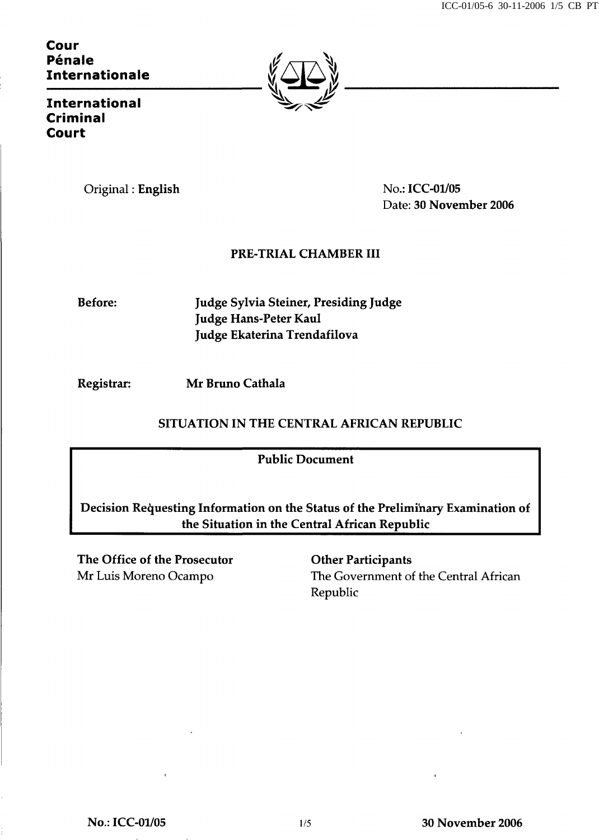## Cour Péna Pénale Internationale



International Criminal Court

Original : English No.: ICC-01/05

Date: 30 November 2006

## PRE-TRIAL CHAMBER III

Before: Judge Sylvia Steiner, Presiding Judge Judge Hans-Peter Kaul Judge Ekaterina Trendafilova

Registrar: Mr Bruno Cathala

## SITUATION IN THE CENTRAL AFRICAN REPUBLIC

Public Document

Decision Requesting Information on the Status of the Preliminary Examination of the Situation in the Central African Republic

The Office of the Prosecutor **Other Participants** 

Mr Luis Moreno Ocampo The Government of the Central African Republic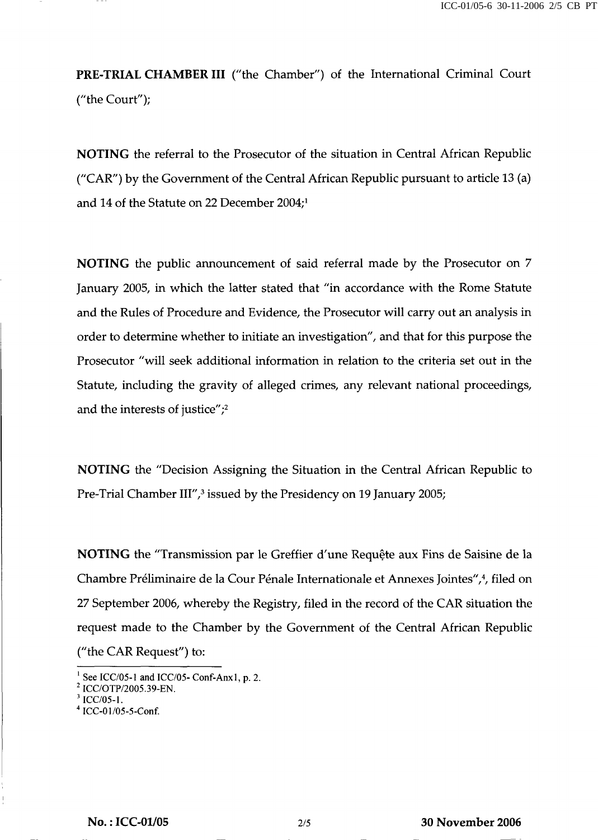PRE-TRIAL CHAMBER III ("the Chamber") of the International Criminal Court ("the Court");

NOTING the referral to the Prosecutor of the situation in Central African Republic ("CAR") by the Government of the Central African Republic pursuant to article 13 (a) and 14 of the Statute on 22 December 2004;<sup>1</sup>

NOTING the public announcement of said referral made by the Prosecutor on 7 January 2005, in which the latter stated that "in accordance with the Rome Statute and the Rules of Procedure and Evidence, the Prosecutor will carry out an analysis in order to determine whether to initiate an investigation", and that for this purpose the Prosecutor "will seek additional information in relation to the criteria set out in the Statute, including the gravity of alleged crimes, any relevant national proceedings, and the interests of justice";<sup>2</sup>

NOTING the "Decision Assigning the Situation in the Central African Republic to Pre-Trial Chamber III",<sup>3</sup> issued by the Presidency on 19 January 2005;

NOTING the "Transmission par le Greffier d'une Requête aux Fins de Saisine de la Chambre Préliminaire de la Cour Pénale Internationale et Annexes Jointes",<sup>4</sup>, filed on 27 September 2006, whereby the Registry, filed in the record of the CAR situation the request made to the Chamber by the Government of the Central African Republic ("the CAR Request") to:

 $\frac{1}{2}$  See ICC/05-1 and ICC/05- Conf-Anx1, p. 2.

<sup>2</sup> ICC/OTP/2005.39-EN.

<sup>3</sup> ICC/05-1.

<sup>4</sup> ICC-01/05-5-Conf.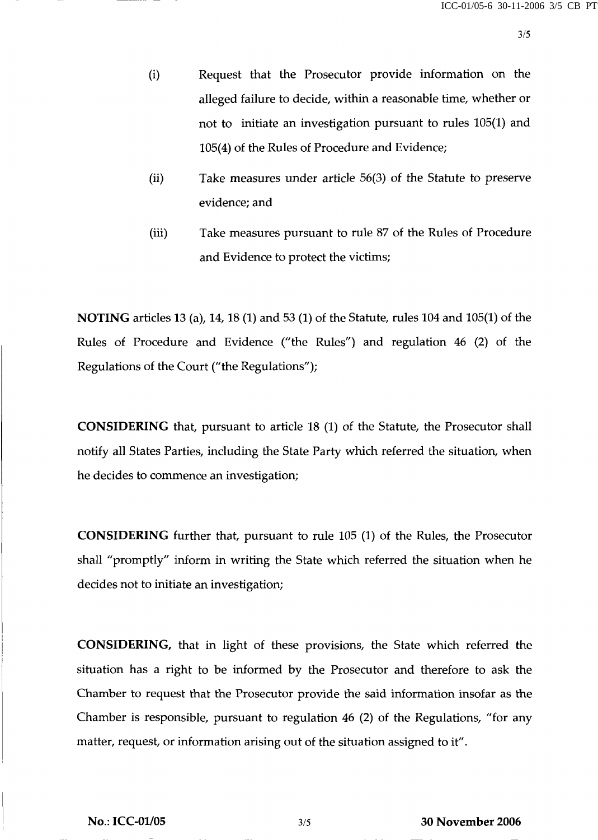- (i) Request that the Prosecutor provide information on the alleged failure to decide, within a reasonable time, whether or not to initiate an investigation pursuant to rules 105(1) and 105(4) of the Rules of Procedure and Evidence;
- (ii) Take measures under article 56(3) of the Statute to preserve evidence; and
- (iii) Take measures pursuant to rule 87 of the Rules of Procedure and Evidence to protect the victims;

NOTING articles 13 (a), 14,18 (1) and 53 (1) of the Statute, rules 104 and 105(1) of the Rules of Procedure and Evidence ("the Rules") and regulation 46 (2) of the Regulations of the Court ("the Regulations");

CONSIDERING that, pursuant to article 18 (1) of the Statute, the Prosecutor shall notify all States Parties, including the State Party which referred the situation, when he decides to commence an investigation;

CONSIDERING further that, pursuant to rule 105 (1) of the Rules, the Prosecutor shall "promptly" inform in writing the State which referred the situation when he decides not to initiate an investigation;

CONSIDERING, that in light of these provisions, the State which referred the situation has a right to be informed by the Prosecutor and therefore to ask the Chamber to request that the Prosecutor provide the said information insofar as the Chamber is responsible, pursuant to regulation 46 (2) of the Regulations, "for any matter, request, or information arising out of the situation assigned to it".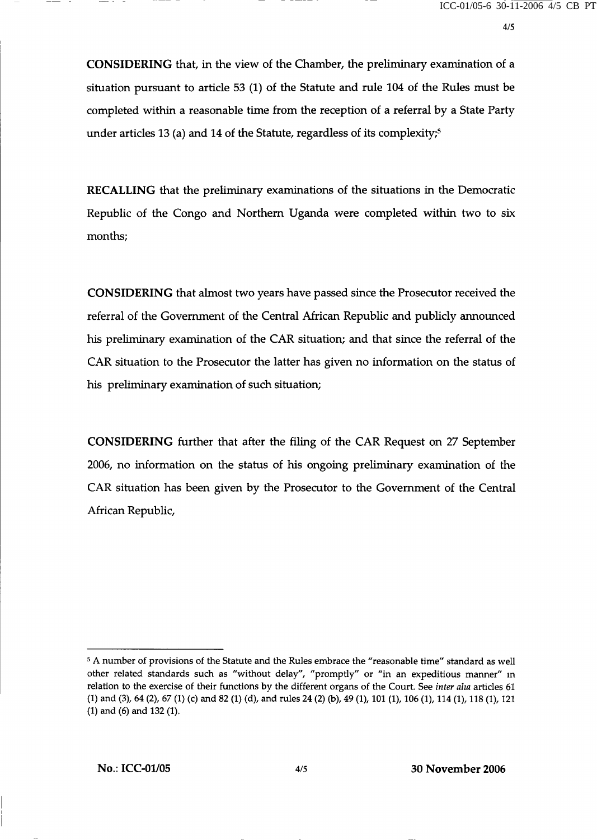CONSIDERING that, in the view of the Chamber, the preliminary examination of a situation pursuant to article 53 (1) of the Statute and rule 104 of the Rules must be completed within a reasonable time from the reception of a referral by a State Party under articles 13 (a) and 14 of the Statute, regardless of its complexity;<sup>5</sup>

RECALLING that the preliminary examinations of the situations in the Democratic Republic of the Congo and Northern Uganda were completed within two to six months;

CONSIDERING that almost two years have passed since the Prosecutor received the referral of the Government of the Central African Republic and publicly announced his preliminary examination of the CAR situation; and that since the referral of the CAR situation to the Prosecutor the latter has given no information on the status of his preliminary examination of such situation;

CONSIDERING further that after the filing of the CAR Request on 27 September 2006, no information on the status of his ongoing preliminary examination of the CAR situation has been given by the Prosecutor to the Government of the Central African Republic,

<sup>&</sup>lt;sup>5</sup> A number of provisions of the Statute and the Rules embrace the "reasonable time" standard as well other related standards such as "without delay", "promptly" or "in an expeditious manner" in relation to the exercise of their functions by the different organs of the Court. See inter alia articles 61 (1) and (3), 64 (2), 67 (1) (c) and 82 (1) (d), and rules 24 (2) (b), 49 (1), 101 (1), 106 (1), 114 (1), 118 (1), 121 (1) and (6) and 132 (1).